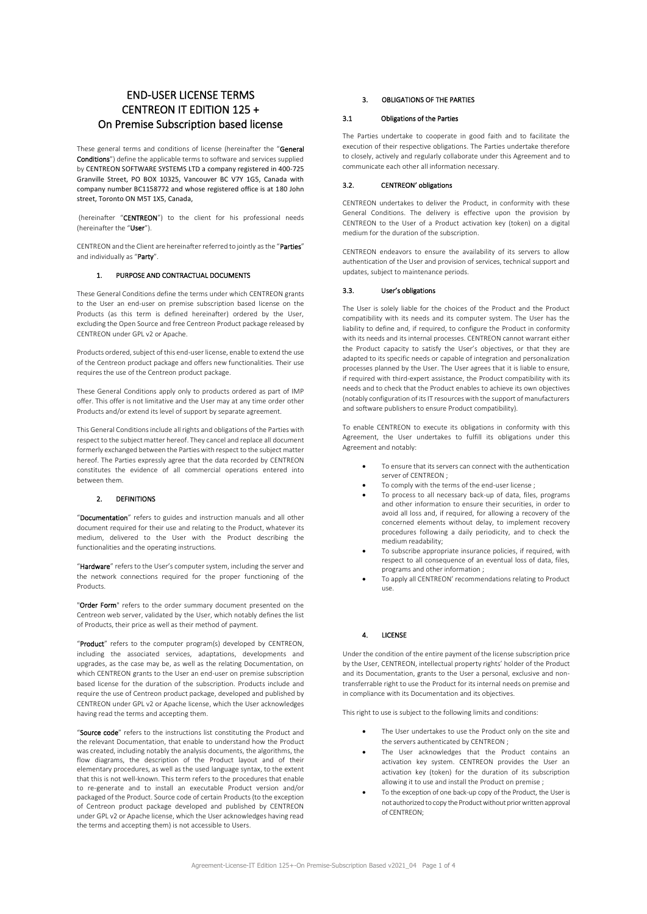# END-USER LICENSE TERMS CENTREON IT EDITION 125 + On Premise Subscription based license

These general terms and conditions of license (hereinafter the "General Conditions") define the applicable terms to software and services supplied by CENTREON SOFTWARE SYSTEMS LTD a company registered in 400-725 Granville Street, PO BOX 10325, Vancouver BC V7Y 1G5, Canada with company number BC1158772 and whose registered office is at 180 John street, Toronto ON M5T 1X5, Canada

(hereinafter "CENTREON") to the client for his professional needs (hereinafter the "User").

CENTREON and the Client are hereinafter referred to jointly as the "Parties" and individually as "Party".

# 1. PURPOSE AND CONTRACTUAL DOCUMENTS

These General Conditions define the terms under which CENTREON grants to the User an end-user on premise subscription based license on the Products (as this term is defined hereinafter) ordered by the User, excluding the Open Source and free Centreon Product package released by CENTREON under GPL v2 or Apache.

Products ordered, subject of this end-user license, enable to extend the use of the Centreon product package and offers new functionalities. Their use requires the use of the Centreon product package.

These General Conditions apply only to products ordered as part of IMP offer. This offer is not limitative and the User may at any time order other Products and/or extend its level of support by separate agreement.

This General Conditions include all rights and obligations of the Parties with respect to the subject matter hereof. They cancel and replace all document formerly exchanged between the Parties with respect to the subject matter hereof. The Parties expressly agree that the data recorded by CENTREON constitutes the evidence of all commercial operations entered into between them.

# 2. DEFINITIONS

"Documentation" refers to guides and instruction manuals and all other document required for their use and relating to the Product, whatever its medium, delivered to the User with the Product describing the functionalities and the operating instructions.

"Hardware" refers to the User's computer system, including the server and the network connections required for the proper functioning of the Products.

"Order Form" refers to the order summary document presented on the Centreon web server, validated by the User, which notably defines the list of Products, their price as well as their method of payment.

"Product" refers to the computer program(s) developed by CENTREON, including the associated services, adaptations, developments and upgrades, as the case may be, as well as the relating Documentation, on which CENTREON grants to the User an end-user on premise subscription based license for the duration of the subscription. Products include and require the use of Centreon product package, developed and published by CENTREON under GPL v2 or Apache license, which the User acknowledges having read the terms and accepting them.

"Source code" refers to the instructions list constituting the Product and the relevant Documentation, that enable to understand how the Product was created, including notably the analysis documents, the algorithms, the flow diagrams, the description of the Product layout and of their elementary procedures, as well as the used language syntax, to the extent that this is not well-known. This term refers to the procedures that enable to re-generate and to install an executable Product version and/or packaged of the Product. Source code of certain Products (to the exception of Centreon product package developed and published by CENTREON under GPL v2 or Apache license, which the User acknowledges having read the terms and accepting them) is not accessible to Users.

#### 3. OBLIGATIONS OF THE PARTIES

#### 3.1 Obligations of the Parties

The Parties undertake to cooperate in good faith and to facilitate the execution of their respective obligations. The Parties undertake therefore to closely, actively and regularly collaborate under this Agreement and to communicate each other all information necessary.

# 3.2. CENTREON' obligations

CENTREON undertakes to deliver the Product, in conformity with these General Conditions. The delivery is effective upon the provision by CENTREON to the User of a Product activation key (token) on a digital medium for the duration of the subscription.

CENTREON endeavors to ensure the availability of its servers to allow authentication of the User and provision of services, technical support and updates, subject to maintenance periods.

## 3.3. User's obligations

The User is solely liable for the choices of the Product and the Product compatibility with its needs and its computer system. The User has the liability to define and, if required, to configure the Product in conformity with its needs and its internal processes. CENTREON cannot warrant either the Product capacity to satisfy the User's objectives, or that they are adapted to its specific needs or capable of integration and personalization processes planned by the User. The User agrees that it is liable to ensure, if required with third-expert assistance, the Product compatibility with its needs and to check that the Product enables to achieve its own objectives (notably configuration of its IT resources with the support of manufacturers and software publishers to ensure Product compatibility).

To enable CENTREON to execute its obligations in conformity with this Agreement, the User undertakes to fulfill its obligations under this Agreement and notably:

- To ensure that its servers can connect with the authentication server of CENTREON :
- To comply with the terms of the end-user license ;
- To process to all necessary back-up of data, files, programs and other information to ensure their securities, in order to avoid all loss and, if required, for allowing a recovery of the concerned elements without delay, to implement recovery procedures following a daily periodicity, and to check the medium readability;
- To subscribe appropriate insurance policies, if required, with respect to all consequence of an eventual loss of data, files, programs and other information ;
- To apply all CENTREON' recommendations relating to Product use.

# 4. LICENSE

Under the condition of the entire payment of the license subscription price by the User, CENTREON, intellectual property rights' holder of the Product and its Documentation, grants to the User a personal, exclusive and nontransferrable right to use the Product for its internal needs on premise and in compliance with its Documentation and its objectives.

This right to use is subject to the following limits and conditions:

- The User undertakes to use the Product only on the site and the servers authenticated by CENTREON ;
- The User acknowledges that the Product contains an activation key system. CENTREON provides the User an activation key (token) for the duration of its subscription allowing it to use and install the Product on premise ;
- To the exception of one back-up copy of the Product, the User is not authorized to copy the Product without prior written approval of CENTREON;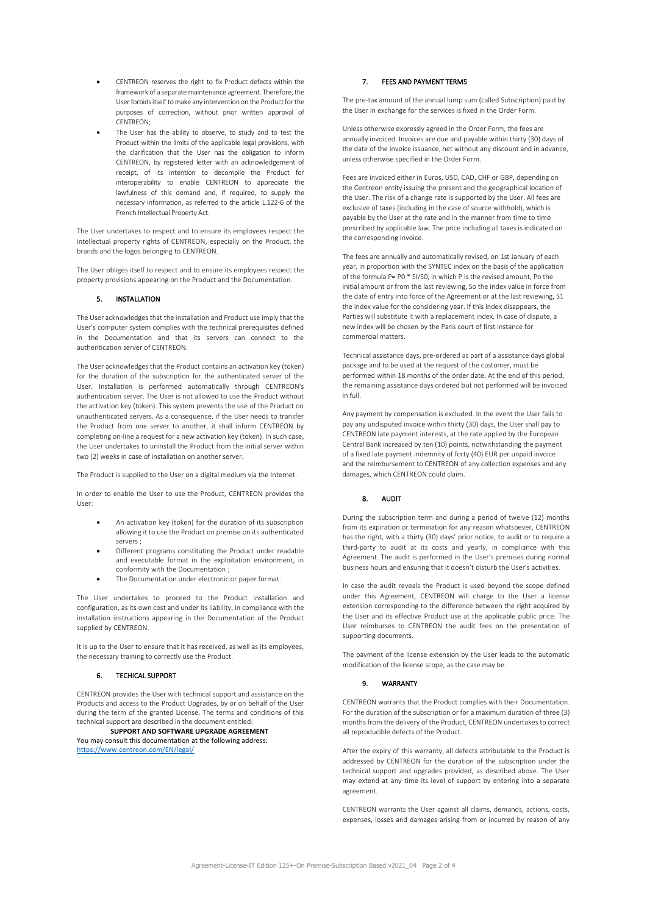- CENTREON reserves the right to fix Product defects within the framework of a separate maintenance agreement. Therefore, the User forbids itself to make any intervention on the Product for the purposes of correction, without prior written approval of CENTREON;
- The User has the ability to observe, to study and to test the Product within the limits of the applicable legal provisions, with the clarification that the User has the obligation to inform CENTREON, by registered letter with an acknowledgement of receipt, of its intention to decompile the Product for interoperability to enable CENTREON to appreciate the lawfulness of this demand and, if required, to supply the necessary information, as referred to the article L.122-6 of the French Intellectual Property Act.

The User undertakes to respect and to ensure its employees respect the intellectual property rights of CENTREON, especially on the Product, the brands and the logos belonging to CENTREON.

The User obliges itself to respect and to ensure its employees respect the property provisions appearing on the Product and the Documentation.

# 5. INSTALLATION

The User acknowledges that the installation and Product use imply that the User's computer system complies with the technical prerequisites defined in the Documentation and that its servers can connect to the authentication server of CENTREON.

The User acknowledges that the Product contains an activation key (token) for the duration of the subscription for the authenticated server of the User. Installation is performed automatically through CENTREON's authentication server. The User is not allowed to use the Product without the activation key (token). This system prevents the use of the Product on unauthenticated servers. As a consequence, if the User needs to transfer the Product from one server to another, it shall inform CENTREON by completing on-line a request for a new activation key (token). In such case, the User undertakes to uninstall the Product from the initial server within two (2) weeks in case of installation on another server.

The Product is supplied to the User on a digital medium via the Internet.

In order to enable the User to use the Product, CENTREON provides the User:

- An activation key (token) for the duration of its subscription allowing it to use the Product on premise on its authenticated servers ;
- Different programs constituting the Product under readable and executable format in the exploitation environment, in conformity with the Documentation ;
- The Documentation under electronic or paper format.

The User undertakes to proceed to the Product installation and configuration, as its own cost and under its liability, in compliance with the installation instructions appearing in the Documentation of the Product supplied by CENTREON.

It is up to the User to ensure that it has received, as well as its employees, the necessary training to correctly use the Product.

#### 6. TECHICAL SUPPORT

CENTREON provides the User with technical support and assistance on the Products and access to the Product Upgrades, by or on behalf of the User during the term of the granted License. The terms and conditions of this technical support are described in the document entitled:

#### **SUPPORT AND SOFTWARE UPGRADE AGREEMENT**

You may consult this documentation at the following address: <https://www.centreon.com/EN/legal/>

#### 7. FEES AND PAYMENT TERMS

The pre-tax amount of the annual lump sum (called Subscription) paid by the User in exchange for the services is fixed in the Order Form.

Unless otherwise expressly agreed in the Order Form, the fees are annually invoiced. Invoices are due and payable within thirty (30) days of the date of the invoice issuance, net without any discount and in advance, unless otherwise specified in the Order Form.

Fees are invoiced either in Euros, USD, CAD, CHF or GBP, depending on the Centreon entity issuing the present and the geographical location of the User. The risk of a change rate is supported by the User. All fees are exclusive of taxes (including in the case of source withhold), which is payable by the User at the rate and in the manner from time to time prescribed by applicable law. The price including all taxes is indicated on the corresponding invoice.

The fees are annually and automatically revised, on 1st January of each year, in proportion with the SYNTEC index on the basis of the application of the formula P= P0 \* SI/S0, in which P is the revised amount, Po the initial amount or from the last reviewing, So the index value in force from the date of entry into force of the Agreement or at the last reviewing, S1 the index value for the considering year. If this index disappears, the Parties will substitute it with a replacement index. In case of dispute, a new index will be chosen by the Paris court of first instance for commercial matters.

Technical assistance days, pre-ordered as part of a assistance days global package and to be used at the request of the customer, must be performed within 18 months of the order date. At the end of this period, the remaining assistance days ordered but not performed will be invoiced in full.

Any payment by compensation is excluded. In the event the User fails to pay any undisputed invoice within thirty (30) days, the User shall pay to CENTREON late payment interests, at the rate applied by the European Central Bank increased by ten (10) points, notwithstanding the payment of a fixed late payment indemnity of forty (40) EUR per unpaid invoice and the reimbursement to CENTREON of any collection expenses and any damages, which CENTREON could claim.

# 8. AUDIT

During the subscription term and during a period of twelve (12) months from its expiration or termination for any reason whatsoever, CENTREON has the right, with a thirty (30) days' prior notice, to audit or to require a third-party to audit at its costs and yearly, in compliance with this Agreement. The audit is performed in the User's premises during normal business hours and ensuring that it doesn't disturb the User's activities.

In case the audit reveals the Product is used beyond the scope defined under this Agreement, CENTREON will charge to the User a license extension corresponding to the difference between the right acquired by the User and its effective Product use at the applicable public price. The User reimburses to CENTREON the audit fees on the presentation of supporting documents.

The payment of the license extension by the User leads to the automatic modification of the license scope, as the case may be.

# 9. WARRANTY

CENTREON warrants that the Product complies with their Documentation. For the duration of the subscription or for a maximum duration of three (3) months from the delivery of the Product, CENTREON undertakes to correct all reproducible defects of the Product.

After the expiry of this warranty, all defects attributable to the Product is addressed by CENTREON for the duration of the subscription under the technical support and upgrades provided, as described above. The User may extend at any time its level of support by entering into a separate agreement.

CENTREON warrants the User against all claims, demands, actions, costs, expenses, losses and damages arising from or incurred by reason of any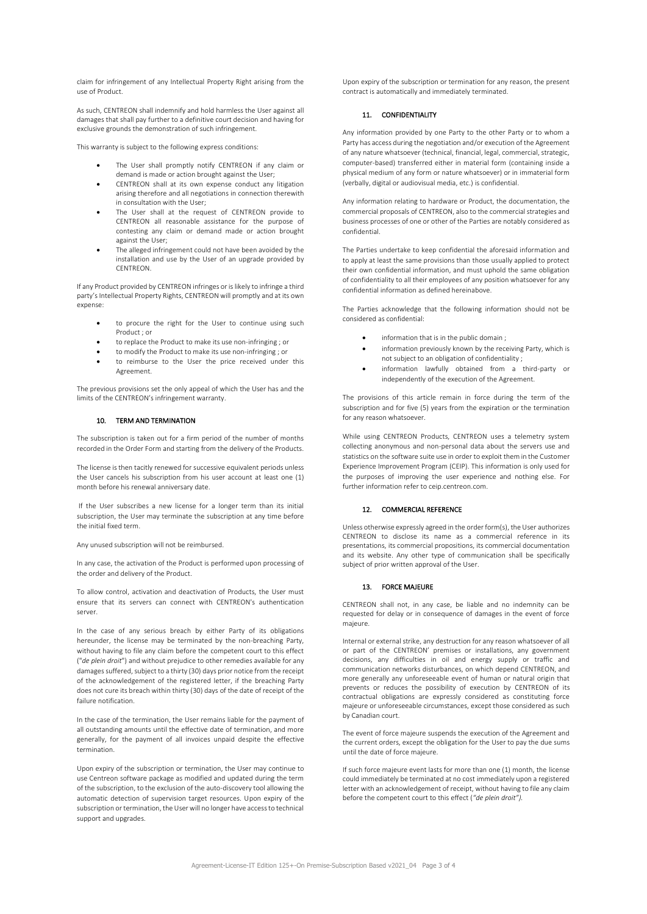claim for infringement of any Intellectual Property Right arising from the use of Product.

As such, CENTREON shall indemnify and hold harmless the User against all damages that shall pay further to a definitive court decision and having for exclusive grounds the demonstration of such infringement.

This warranty is subject to the following express conditions:

- The User shall promptly notify CENTREON if any claim or demand is made or action brought against the User;
- CENTREON shall at its own expense conduct any litigation arising therefore and all negotiations in connection therewith in consultation with the User;
- The User shall at the request of CENTREON provide to CENTREON all reasonable assistance for the purpose of contesting any claim or demand made or action brought against the User;
- The alleged infringement could not have been avoided by the installation and use by the User of an upgrade provided by CENTREON.

If any Product provided by CENTREON infringes or is likely to infringe a third party's Intellectual Property Rights, CENTREON will promptly and at its own expense:

- to procure the right for the User to continue using such Product ; or
- to replace the Product to make its use non-infringing ; or
- to modify the Product to make its use non-infringing ; or
- to reimburse to the User the price received under this Agreement.

The previous provisions set the only appeal of which the User has and the limits of the CENTREON's infringement warranty.

# 10. TERM AND TERMINATION

The subscription is taken out for a firm period of the number of months recorded in the Order Form and starting from the delivery of the Products.

The license is then tacitly renewed for successive equivalent periods unless the User cancels his subscription from his user account at least one (1) month before his renewal anniversary date.

If the User subscribes a new license for a longer term than its initial subscription, the User may terminate the subscription at any time before the initial fixed term.

Any unused subscription will not be reimbursed.

In any case, the activation of the Product is performed upon processing of the order and delivery of the Product.

To allow control, activation and deactivation of Products, the User must ensure that its servers can connect with CENTREON's authentication server.

In the case of any serious breach by either Party of its obligations hereunder, the license may be terminated by the non-breaching Party, without having to file any claim before the competent court to this effect ("*de plein droit*") and without prejudice to other remedies available for any damages suffered, subject to a thirty (30) days prior notice from the receipt of the acknowledgement of the registered letter, if the breaching Party does not cure its breach within thirty (30) days of the date of receipt of the failure notification.

In the case of the termination, the User remains liable for the payment of all outstanding amounts until the effective date of termination, and more generally, for the payment of all invoices unpaid despite the effective termination.

Upon expiry of the subscription or termination, the User may continue to use Centreon software package as modified and updated during the term of the subscription, to the exclusion of the auto-discovery tool allowing the automatic detection of supervision target resources. Upon expiry of the subscription or termination, the User will no longer have access to technical support and upgrades.

Upon expiry of the subscription or termination for any reason, the present contract is automatically and immediately terminated.

# 11. CONFIDENTIALITY

Any information provided by one Party to the other Party or to whom a Party has access during the negotiation and/or execution of the Agreement of any nature whatsoever (technical, financial, legal, commercial, strategic, computer-based) transferred either in material form (containing inside a physical medium of any form or nature whatsoever) or in immaterial form (verbally, digital or audiovisual media, etc.) is confidential.

Any information relating to hardware or Product, the documentation, the commercial proposals of CENTREON, also to the commercial strategies and business processes of one or other of the Parties are notably considered as confidential.

The Parties undertake to keep confidential the aforesaid information and to apply at least the same provisions than those usually applied to protect their own confidential information, and must uphold the same obligation of confidentiality to all their employees of any position whatsoever for any confidential information as defined hereinabove.

The Parties acknowledge that the following information should not be considered as confidential:

- information that is in the public domain ;
- information previously known by the receiving Party, which is not subject to an obligation of confidentiality ;
- information lawfully obtained from a third-party or independently of the execution of the Agreement.

The provisions of this article remain in force during the term of the subscription and for five (5) years from the expiration or the termination for any reason whatsoever.

While using CENTREON Products, CENTREON uses a telemetry system collecting anonymous and non-personal data about the servers use and statistics on the software suite use in order to exploit them in the Customer Experience Improvement Program (CEIP). This information is only used for the purposes of improving the user experience and nothing else. For further information refer to ceip.centreon.com.

# 12. COMMERCIAL REFERENCE

Unless otherwise expressly agreed in the order form(s), the User authorizes CENTREON to disclose its name as a commercial reference in its presentations, its commercial propositions, its commercial documentation and its website. Any other type of communication shall be specifically subject of prior written approval of the User.

#### 13. FORCE MAJEURE

CENTREON shall not, in any case, be liable and no indemnity can be requested for delay or in consequence of damages in the event of force majeure.

Internal or external strike, any destruction for any reason whatsoever of all or part of the CENTREON' premises or installations, any government decisions, any difficulties in oil and energy supply or traffic and communication networks disturbances, on which depend CENTREON, and more generally any unforeseeable event of human or natural origin that prevents or reduces the possibility of execution by CENTREON of its contractual obligations are expressly considered as constituting force majeure or unforeseeable circumstances, except those considered as such by Canadian court.

The event of force majeure suspends the execution of the Agreement and the current orders, except the obligation for the User to pay the due sums until the date of force majeure.

If such force majeure event lasts for more than one (1) month, the license could immediately be terminated at no cost immediately upon a registered letter with an acknowledgement of receipt, without having to file any claim before the competent court to this effect (*"de plein droit").*